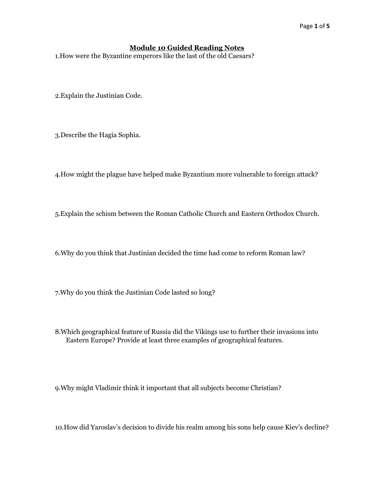## **Module 10 Guided Reading Notes**

1.How were the Byzantine emperors like the last of the old Caesars?

2.Explain the Justinian Code.

3.Describe the Hagia Sophia.

4.How might the plague have helped make Byzantium more vulnerable to foreign attack?

5.Explain the schism between the Roman Catholic Church and Eastern Orthodox Church.

6.Why do you think that Justinian decided the time had come to reform Roman law?

7.Why do you think the Justinian Code lasted so long?

8.Which geographical feature of Russia did the Vikings use to further their invasions into Eastern Europe? Provide at least three examples of geographical features.

9.Why might Vladimir think it important that all subjects become Christian?

10.How did Yaroslav's decision to divide his realm among his sons help cause Kiev's decline?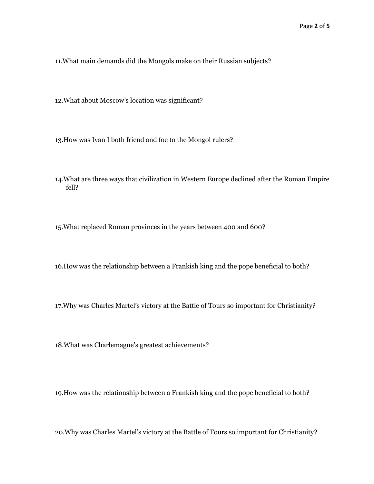11.What main demands did the Mongols make on their Russian subjects?

12.What about Moscow's location was significant?

13.How was Ivan I both friend and foe to the Mongol rulers?

14.What are three ways that civilization in Western Europe declined after the Roman Empire fell?

15.What replaced Roman provinces in the years between 400 and 600?

16.How was the relationship between a Frankish king and the pope beneficial to both?

17.Why was Charles Martel's victory at the Battle of Tours so important for Christianity?

18.What was Charlemagne's greatest achievements?

19.How was the relationship between a Frankish king and the pope beneficial to both?

20.Why was Charles Martel's victory at the Battle of Tours so important for Christianity?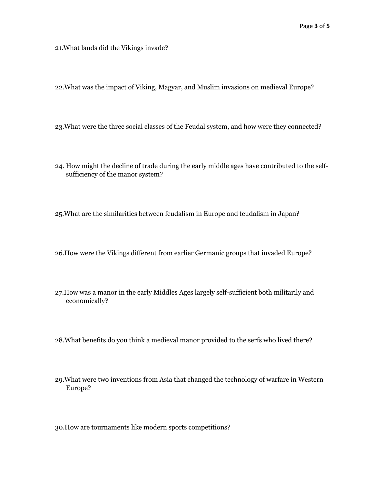21.What lands did the Vikings invade?

22.What was the impact of Viking, Magyar, and Muslim invasions on medieval Europe?

- 23.What were the three social classes of the Feudal system, and how were they connected?
- 24. How might the decline of trade during the early middle ages have contributed to the selfsufficiency of the manor system?
- 25.What are the similarities between feudalism in Europe and feudalism in Japan?
- 26.How were the Vikings different from earlier Germanic groups that invaded Europe?
- 27.How was a manor in the early Middles Ages largely self-sufficient both militarily and economically?
- 28.What benefits do you think a medieval manor provided to the serfs who lived there?
- 29.What were two inventions from Asia that changed the technology of warfare in Western Europe?
- 30.How are tournaments like modern sports competitions?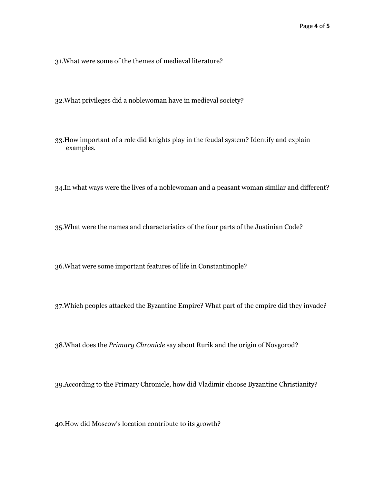31.What were some of the themes of medieval literature?

32.What privileges did a noblewoman have in medieval society?

33.How important of a role did knights play in the feudal system? Identify and explain examples.

34.In what ways were the lives of a noblewoman and a peasant woman similar and different?

35.What were the names and characteristics of the four parts of the Justinian Code?

36.What were some important features of life in Constantinople?

37.Which peoples attacked the Byzantine Empire? What part of the empire did they invade?

38.What does the *Primary Chronicle* say about Rurik and the origin of Novgorod?

39.According to the Primary Chronicle, how did Vladimir choose Byzantine Christianity?

40.How did Moscow's location contribute to its growth?